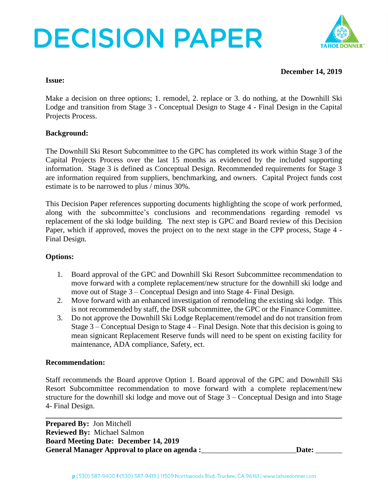# **DECISION PAPER**



## **December 14, 2019**

#### **Issue:**

Make a decision on three options; 1. remodel, 2. replace or 3. do nothing, at the Downhill Ski Lodge and transition from Stage 3 - Conceptual Design to Stage 4 - Final Design in the Capital Projects Process.

# **Background:**

The Downhill Ski Resort Subcommittee to the GPC has completed its work within Stage 3 of the Capital Projects Process over the last 15 months as evidenced by the included supporting information. Stage 3 is defined as Conceptual Design. Recommended requirements for Stage 3 are information required from suppliers, benchmarking, and owners. Capital Project funds cost estimate is to be narrowed to plus / minus 30%.

This Decision Paper references supporting documents highlighting the scope of work performed, along with the subcommittee's conclusions and recommendations regarding remodel vs replacement of the ski lodge building. The next step is GPC and Board review of this Decision Paper, which if approved, moves the project on to the next stage in the CPP process, Stage 4 - Final Design.

### **Options:**

- 1. Board approval of the GPC and Downhill Ski Resort Subcommittee recommendation to move forward with a complete replacement/new structure for the downhill ski lodge and move out of Stage 3 – Conceptual Design and into Stage 4- Final Design.
- 2. Move forward with an enhanced investigation of remodeling the existing ski lodge. This is not recommended by staff, the DSR subcommittee, the GPC or the Finance Committee.
- 3. Do not approve the Downhill Ski Lodge Replacement/remodel and do not transition from Stage 3 – Conceptual Design to Stage 4 – Final Design. Note that this decision is going to mean signicant Replacement Reserve funds will need to be spent on existing facility for maintenance, ADA compliance, Safety, ect.

### **Recommendation:**

Staff recommends the Board approve Option 1. Board approval of the GPC and Downhill Ski Resort Subcommittee recommendation to move forward with a complete replacement/new structure for the downhill ski lodge and move out of Stage 3 – Conceptual Design and into Stage 4- Final Design.

**\_\_\_\_\_\_\_\_\_\_\_\_\_\_\_\_\_\_\_\_\_\_\_\_\_\_\_\_\_\_\_\_\_\_\_\_\_\_\_\_\_\_\_\_\_\_\_\_\_\_\_\_\_\_\_\_\_\_\_\_\_\_\_\_\_\_\_\_\_\_\_\_\_\_\_\_\_\_ Prepared By:** Jon Mitchell **Reviewed By:** Michael Salmon **Board Meeting Date: December 14, 2019** General Manager Approval to place on agenda :\_\_\_\_\_\_\_\_\_\_\_\_\_\_\_\_\_\_\_\_\_\_\_\_\_\_\_\_Date: